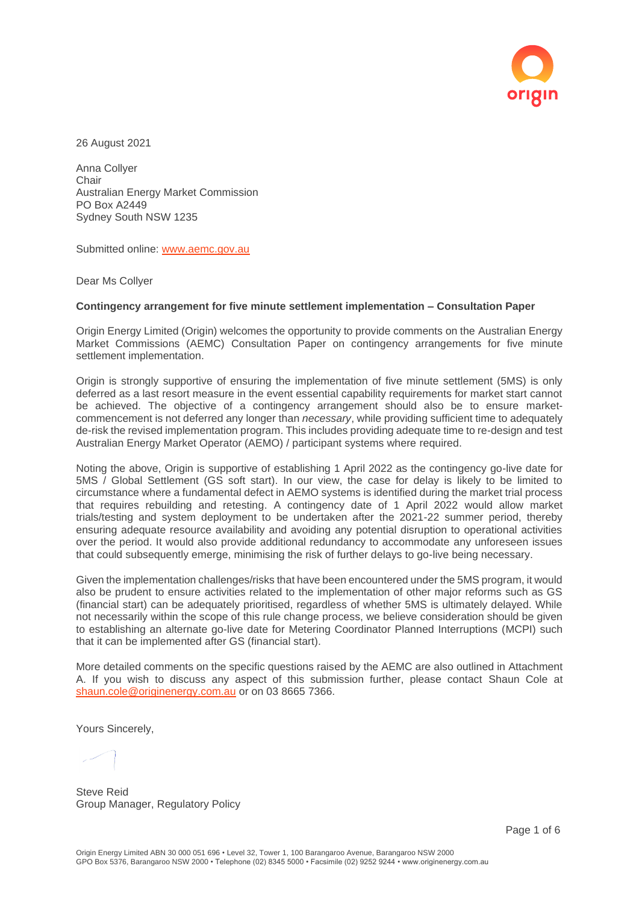

26 August 2021

Anna Collyer **Chair** Australian Energy Market Commission PO Box A2449 Sydney South NSW 1235

Submitted online: [www.aemc.gov.au](http://www.aemc.gov.au/)

Dear Ms Collyer

#### **Contingency arrangement for five minute settlement implementation – Consultation Paper**

Origin Energy Limited (Origin) welcomes the opportunity to provide comments on the Australian Energy Market Commissions (AEMC) Consultation Paper on contingency arrangements for five minute settlement implementation.

Origin is strongly supportive of ensuring the implementation of five minute settlement (5MS) is only deferred as a last resort measure in the event essential capability requirements for market start cannot be achieved. The objective of a contingency arrangement should also be to ensure marketcommencement is not deferred any longer than *necessary*, while providing sufficient time to adequately de-risk the revised implementation program. This includes providing adequate time to re-design and test Australian Energy Market Operator (AEMO) / participant systems where required.

Noting the above, Origin is supportive of establishing 1 April 2022 as the contingency go-live date for 5MS / Global Settlement (GS soft start). In our view, the case for delay is likely to be limited to circumstance where a fundamental defect in AEMO systems is identified during the market trial process that requires rebuilding and retesting. A contingency date of 1 April 2022 would allow market trials/testing and system deployment to be undertaken after the 2021-22 summer period, thereby ensuring adequate resource availability and avoiding any potential disruption to operational activities over the period. It would also provide additional redundancy to accommodate any unforeseen issues that could subsequently emerge, minimising the risk of further delays to go-live being necessary.

Given the implementation challenges/risks that have been encountered under the 5MS program, it would also be prudent to ensure activities related to the implementation of other major reforms such as GS (financial start) can be adequately prioritised, regardless of whether 5MS is ultimately delayed. While not necessarily within the scope of this rule change process, we believe consideration should be given to establishing an alternate go-live date for Metering Coordinator Planned Interruptions (MCPI) such that it can be implemented after GS (financial start).

More detailed comments on the specific questions raised by the AEMC are also outlined in Attachment A. If you wish to discuss any aspect of this submission further, please contact Shaun Cole at [shaun.cole@originenergy.com.au](mailto:shaun.cole@originenergy.com.au) or on 03 8665 7366.

Yours Sincerely,

Steve Reid Group Manager, Regulatory Policy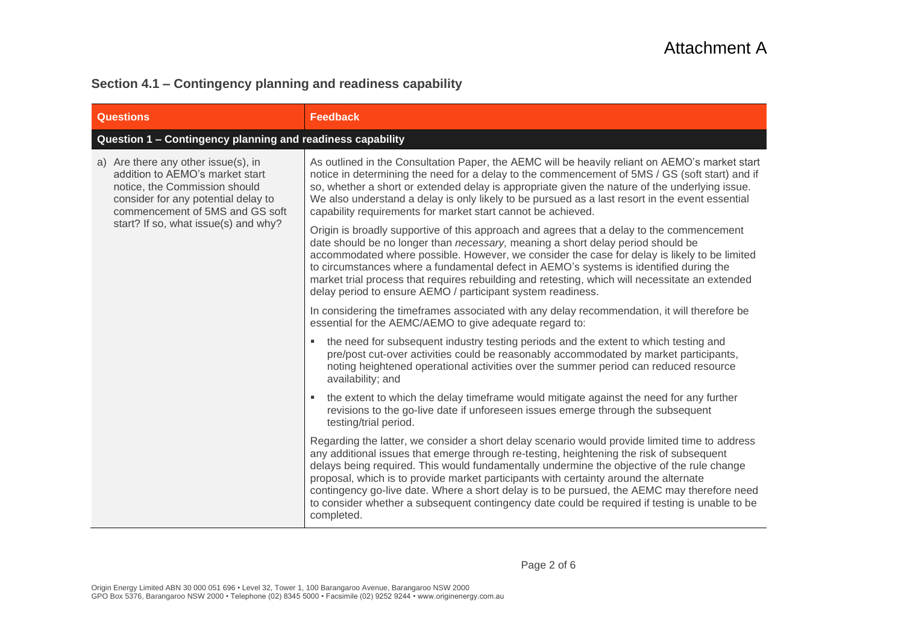#### **Section 4.1 – Contingency planning and readiness capability**

| <b>Questions</b>                                                                                                                                                                  | <b>Feedback</b>                                                                                                                                                                                                                                                                                                                                                                                                                                                                                                                                                                                  |  |
|-----------------------------------------------------------------------------------------------------------------------------------------------------------------------------------|--------------------------------------------------------------------------------------------------------------------------------------------------------------------------------------------------------------------------------------------------------------------------------------------------------------------------------------------------------------------------------------------------------------------------------------------------------------------------------------------------------------------------------------------------------------------------------------------------|--|
| Question 1 - Contingency planning and readiness capability                                                                                                                        |                                                                                                                                                                                                                                                                                                                                                                                                                                                                                                                                                                                                  |  |
| a) Are there any other issue(s), in<br>addition to AEMO's market start<br>notice, the Commission should<br>consider for any potential delay to<br>commencement of 5MS and GS soft | As outlined in the Consultation Paper, the AEMC will be heavily reliant on AEMO's market start<br>notice in determining the need for a delay to the commencement of 5MS / GS (soft start) and if<br>so, whether a short or extended delay is appropriate given the nature of the underlying issue.<br>We also understand a delay is only likely to be pursued as a last resort in the event essential<br>capability requirements for market start cannot be achieved.                                                                                                                            |  |
| start? If so, what issue(s) and why?                                                                                                                                              | Origin is broadly supportive of this approach and agrees that a delay to the commencement<br>date should be no longer than necessary, meaning a short delay period should be<br>accommodated where possible. However, we consider the case for delay is likely to be limited<br>to circumstances where a fundamental defect in AEMO's systems is identified during the<br>market trial process that requires rebuilding and retesting, which will necessitate an extended<br>delay period to ensure AEMO / participant system readiness.                                                         |  |
|                                                                                                                                                                                   | In considering the timeframes associated with any delay recommendation, it will therefore be<br>essential for the AEMC/AEMO to give adequate regard to:                                                                                                                                                                                                                                                                                                                                                                                                                                          |  |
|                                                                                                                                                                                   | the need for subsequent industry testing periods and the extent to which testing and<br>pre/post cut-over activities could be reasonably accommodated by market participants,<br>noting heightened operational activities over the summer period can reduced resource<br>availability; and                                                                                                                                                                                                                                                                                                       |  |
|                                                                                                                                                                                   | the extent to which the delay timeframe would mitigate against the need for any further<br>revisions to the go-live date if unforeseen issues emerge through the subsequent<br>testing/trial period.                                                                                                                                                                                                                                                                                                                                                                                             |  |
|                                                                                                                                                                                   | Regarding the latter, we consider a short delay scenario would provide limited time to address<br>any additional issues that emerge through re-testing, heightening the risk of subsequent<br>delays being required. This would fundamentally undermine the objective of the rule change<br>proposal, which is to provide market participants with certainty around the alternate<br>contingency go-live date. Where a short delay is to be pursued, the AEMC may therefore need<br>to consider whether a subsequent contingency date could be required if testing is unable to be<br>completed. |  |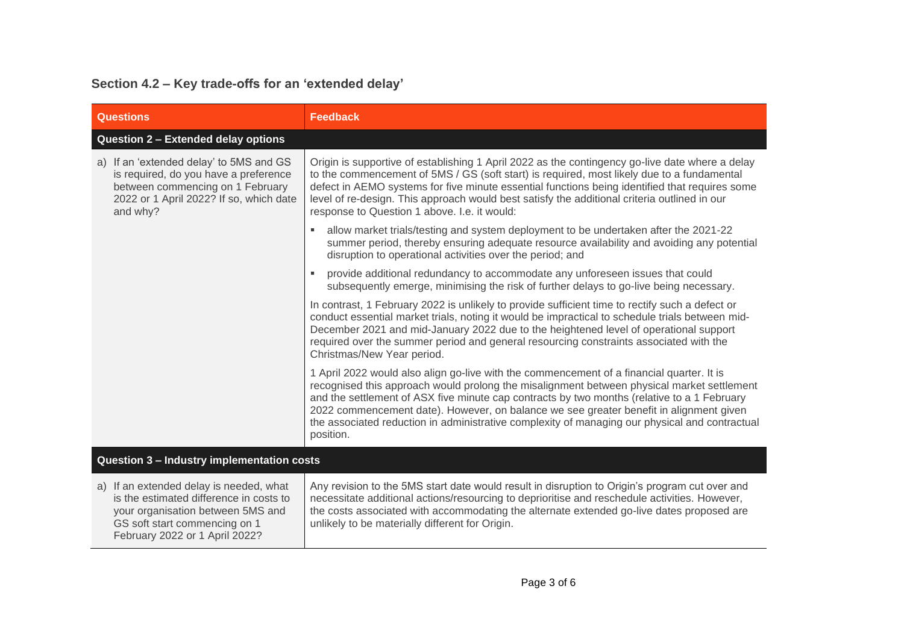## **Section 4.2 – Key trade-offs for an 'extended delay'**

| <b>Questions</b>                                                                                                                                                                           | <b>Feedback</b>                                                                                                                                                                                                                                                                                                                                                                                                                                                                                 |  |
|--------------------------------------------------------------------------------------------------------------------------------------------------------------------------------------------|-------------------------------------------------------------------------------------------------------------------------------------------------------------------------------------------------------------------------------------------------------------------------------------------------------------------------------------------------------------------------------------------------------------------------------------------------------------------------------------------------|--|
| Question 2 - Extended delay options                                                                                                                                                        |                                                                                                                                                                                                                                                                                                                                                                                                                                                                                                 |  |
| a) If an 'extended delay' to 5MS and GS<br>is required, do you have a preference<br>between commencing on 1 February<br>2022 or 1 April 2022? If so, which date<br>and why?                | Origin is supportive of establishing 1 April 2022 as the contingency go-live date where a delay<br>to the commencement of 5MS / GS (soft start) is required, most likely due to a fundamental<br>defect in AEMO systems for five minute essential functions being identified that requires some<br>level of re-design. This approach would best satisfy the additional criteria outlined in our<br>response to Question 1 above. I.e. it would:                                                 |  |
|                                                                                                                                                                                            | allow market trials/testing and system deployment to be undertaken after the 2021-22<br>summer period, thereby ensuring adequate resource availability and avoiding any potential<br>disruption to operational activities over the period; and                                                                                                                                                                                                                                                  |  |
|                                                                                                                                                                                            | provide additional redundancy to accommodate any unforeseen issues that could<br>subsequently emerge, minimising the risk of further delays to go-live being necessary.                                                                                                                                                                                                                                                                                                                         |  |
|                                                                                                                                                                                            | In contrast, 1 February 2022 is unlikely to provide sufficient time to rectify such a defect or<br>conduct essential market trials, noting it would be impractical to schedule trials between mid-<br>December 2021 and mid-January 2022 due to the heightened level of operational support<br>required over the summer period and general resourcing constraints associated with the<br>Christmas/New Year period.                                                                             |  |
|                                                                                                                                                                                            | 1 April 2022 would also align go-live with the commencement of a financial quarter. It is<br>recognised this approach would prolong the misalignment between physical market settlement<br>and the settlement of ASX five minute cap contracts by two months (relative to a 1 February<br>2022 commencement date). However, on balance we see greater benefit in alignment given<br>the associated reduction in administrative complexity of managing our physical and contractual<br>position. |  |
| Question 3 - Industry implementation costs                                                                                                                                                 |                                                                                                                                                                                                                                                                                                                                                                                                                                                                                                 |  |
| a) If an extended delay is needed, what<br>is the estimated difference in costs to<br>your organisation between 5MS and<br>GS soft start commencing on 1<br>February 2022 or 1 April 2022? | Any revision to the 5MS start date would result in disruption to Origin's program cut over and<br>necessitate additional actions/resourcing to deprioritise and reschedule activities. However,<br>the costs associated with accommodating the alternate extended go-live dates proposed are<br>unlikely to be materially different for Origin.                                                                                                                                                 |  |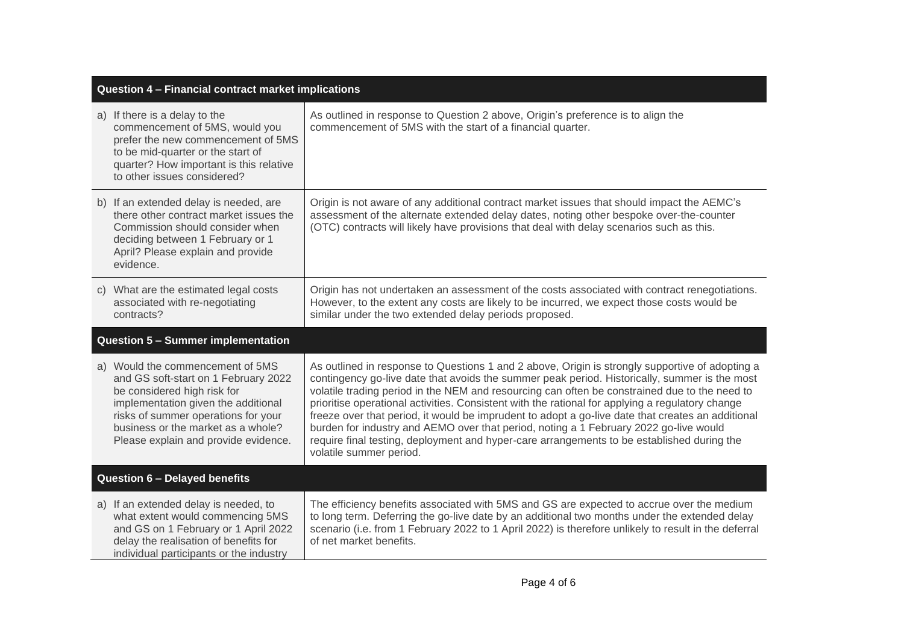| Question 4 - Financial contract market implications |                                                                                                                                                                                                                                                                     |                                                                                                                                                                                                                                                                                                                                                                                                                                                                                                                                                                                                                                                                                                                              |
|-----------------------------------------------------|---------------------------------------------------------------------------------------------------------------------------------------------------------------------------------------------------------------------------------------------------------------------|------------------------------------------------------------------------------------------------------------------------------------------------------------------------------------------------------------------------------------------------------------------------------------------------------------------------------------------------------------------------------------------------------------------------------------------------------------------------------------------------------------------------------------------------------------------------------------------------------------------------------------------------------------------------------------------------------------------------------|
|                                                     | a) If there is a delay to the<br>commencement of 5MS, would you<br>prefer the new commencement of 5MS<br>to be mid-quarter or the start of<br>quarter? How important is this relative<br>to other issues considered?                                                | As outlined in response to Question 2 above, Origin's preference is to align the<br>commencement of 5MS with the start of a financial quarter.                                                                                                                                                                                                                                                                                                                                                                                                                                                                                                                                                                               |
|                                                     | b) If an extended delay is needed, are<br>there other contract market issues the<br>Commission should consider when<br>deciding between 1 February or 1<br>April? Please explain and provide<br>evidence.                                                           | Origin is not aware of any additional contract market issues that should impact the AEMC's<br>assessment of the alternate extended delay dates, noting other bespoke over-the-counter<br>(OTC) contracts will likely have provisions that deal with delay scenarios such as this.                                                                                                                                                                                                                                                                                                                                                                                                                                            |
|                                                     | c) What are the estimated legal costs<br>associated with re-negotiating<br>contracts?                                                                                                                                                                               | Origin has not undertaken an assessment of the costs associated with contract renegotiations.<br>However, to the extent any costs are likely to be incurred, we expect those costs would be<br>similar under the two extended delay periods proposed.                                                                                                                                                                                                                                                                                                                                                                                                                                                                        |
|                                                     | <b>Question 5 - Summer implementation</b>                                                                                                                                                                                                                           |                                                                                                                                                                                                                                                                                                                                                                                                                                                                                                                                                                                                                                                                                                                              |
|                                                     | a) Would the commencement of 5MS<br>and GS soft-start on 1 February 2022<br>be considered high risk for<br>implementation given the additional<br>risks of summer operations for your<br>business or the market as a whole?<br>Please explain and provide evidence. | As outlined in response to Questions 1 and 2 above, Origin is strongly supportive of adopting a<br>contingency go-live date that avoids the summer peak period. Historically, summer is the most<br>volatile trading period in the NEM and resourcing can often be constrained due to the need to<br>prioritise operational activities. Consistent with the rational for applying a regulatory change<br>freeze over that period, it would be imprudent to adopt a go-live date that creates an additional<br>burden for industry and AEMO over that period, noting a 1 February 2022 go-live would<br>require final testing, deployment and hyper-care arrangements to be established during the<br>volatile summer period. |
| <b>Question 6 - Delayed benefits</b>                |                                                                                                                                                                                                                                                                     |                                                                                                                                                                                                                                                                                                                                                                                                                                                                                                                                                                                                                                                                                                                              |
|                                                     | a) If an extended delay is needed, to<br>what extent would commencing 5MS<br>and GS on 1 February or 1 April 2022<br>delay the realisation of benefits for<br>individual participants or the industry                                                               | The efficiency benefits associated with 5MS and GS are expected to accrue over the medium<br>to long term. Deferring the go-live date by an additional two months under the extended delay<br>scenario (i.e. from 1 February 2022 to 1 April 2022) is therefore unlikely to result in the deferral<br>of net market benefits.                                                                                                                                                                                                                                                                                                                                                                                                |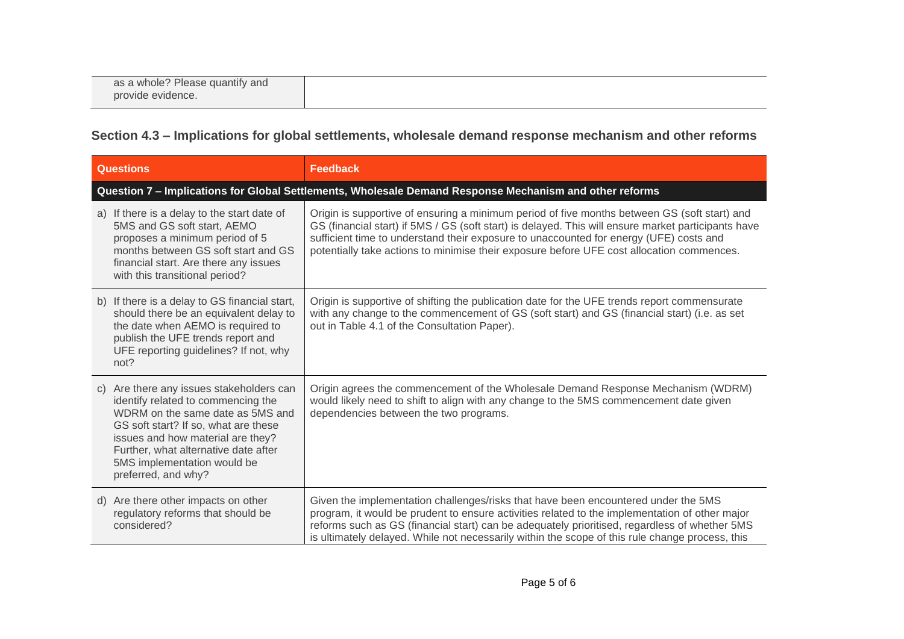| as a whole? Please quantify and<br>provide evidence. |
|------------------------------------------------------|
|                                                      |

### **Section 4.3 – Implications for global settlements, wholesale demand response mechanism and other reforms**

| <b>Questions</b>                                                                                        |                                                                                                                                                                                                                                                                     | <b>Feedback</b>                                                                                                                                                                                                                                                                                                                                                                            |  |
|---------------------------------------------------------------------------------------------------------|---------------------------------------------------------------------------------------------------------------------------------------------------------------------------------------------------------------------------------------------------------------------|--------------------------------------------------------------------------------------------------------------------------------------------------------------------------------------------------------------------------------------------------------------------------------------------------------------------------------------------------------------------------------------------|--|
| Question 7 - Implications for Global Settlements, Wholesale Demand Response Mechanism and other reforms |                                                                                                                                                                                                                                                                     |                                                                                                                                                                                                                                                                                                                                                                                            |  |
|                                                                                                         | a) If there is a delay to the start date of<br>5MS and GS soft start, AEMO<br>proposes a minimum period of 5<br>months between GS soft start and GS<br>financial start. Are there any issues<br>with this transitional period?                                      | Origin is supportive of ensuring a minimum period of five months between GS (soft start) and<br>GS (financial start) if 5MS / GS (soft start) is delayed. This will ensure market participants have<br>sufficient time to understand their exposure to unaccounted for energy (UFE) costs and<br>potentially take actions to minimise their exposure before UFE cost allocation commences. |  |
| not?                                                                                                    | b) If there is a delay to GS financial start,<br>should there be an equivalent delay to<br>the date when AEMO is required to<br>publish the UFE trends report and<br>UFE reporting guidelines? If not, why                                                          | Origin is supportive of shifting the publication date for the UFE trends report commensurate<br>with any change to the commencement of GS (soft start) and GS (financial start) (i.e. as set<br>out in Table 4.1 of the Consultation Paper).                                                                                                                                               |  |
| $\mathcal{C}$ )<br>preferred, and why?                                                                  | Are there any issues stakeholders can<br>identify related to commencing the<br>WDRM on the same date as 5MS and<br>GS soft start? If so, what are these<br>issues and how material are they?<br>Further, what alternative date after<br>5MS implementation would be | Origin agrees the commencement of the Wholesale Demand Response Mechanism (WDRM)<br>would likely need to shift to align with any change to the 5MS commencement date given<br>dependencies between the two programs.                                                                                                                                                                       |  |
| d)<br>considered?                                                                                       | Are there other impacts on other<br>regulatory reforms that should be                                                                                                                                                                                               | Given the implementation challenges/risks that have been encountered under the 5MS<br>program, it would be prudent to ensure activities related to the implementation of other major<br>reforms such as GS (financial start) can be adequately prioritised, regardless of whether 5MS<br>is ultimately delayed. While not necessarily within the scope of this rule change process, this   |  |